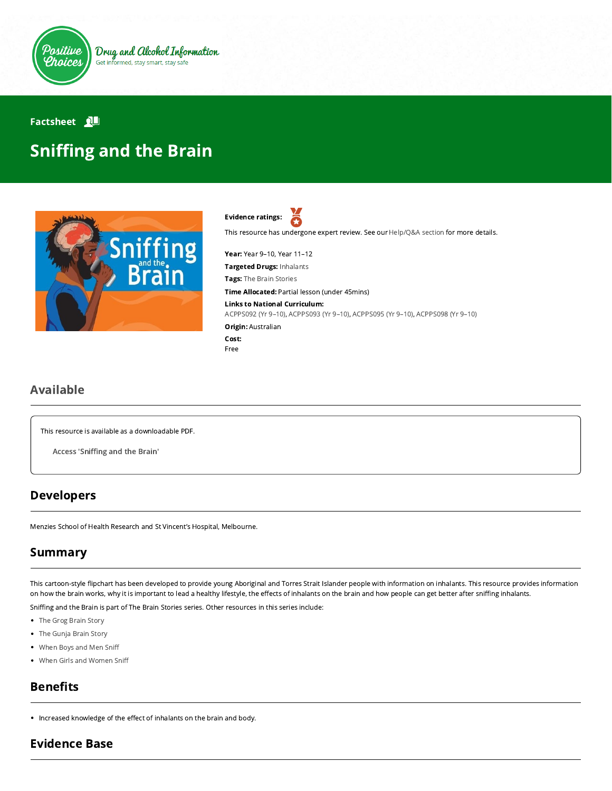

### Factsheet **N**

# **Sniffing and the Brain**



Evidence ratings: Я

This resource has undergone expert review. See our [Help/Q&A section](https://positivechoices.org.au/help/questions-and-answers/) for more details.

Year: Year 9–10, Year 11–12

Targeted Drugs: Inhalants

**Tags:** The Brain Stories

Time Allocated: Partial lesson (under 45mins)

Links to National Curriculum:

[ACPPS092 \(Yr 9–10\),](http://www.australiancurriculum.edu.au/Curriculum/ContentDescription/ACPPS092) [ACPPS093 \(Yr 9–10\),](http://www.australiancurriculum.edu.au/Curriculum/ContentDescription/ACPPS093) [ACPPS095 \(Yr 9–10\),](http://www.australiancurriculum.edu.au/Curriculum/ContentDescription/ACPPS095) [ACPPS098 \(Yr 9–10\)](http://www.australiancurriculum.edu.au/Curriculum/ContentDescription/ACPPS098)

Origin: Australian Cost:

Free

#### Available

This resource is available as a downloadable PDF.

Access 'Sniffing and the Brain'

### Developers

Menzies School of Health Research and St Vincent's Hospital, Melbourne.

# Summary

This cartoon-style flipchart has been developed to provide young Aboriginal and Torres Strait Islander people with information on inhalants. This resource provides information on how the brain works, why it is important to lead a healthy lifestyle, the effects of inhalants on the brain and how people can get better after sniffing inhalants.

Sniffing and the Brain is part of The Brain Stories series. Other resources in this series include:

- [The Grog Brain Story](https://positivechoices.org.au/teachers/grog-brain-story)
- [The Gunja Brain Story](https://positivechoices.org.au/teachers/gunja-brain-story)
- [When Boys and Men Sni](https://positivechoices.org.au/teachers/when-boys-and-men-sniff)
- [When Girls and Women Sni](https://positivechoices.org.au/teachers/when-girls-and-women-sniff)

# **Benefits**

• Increased knowledge of the effect of inhalants on the brain and body.

#### Evidence Base